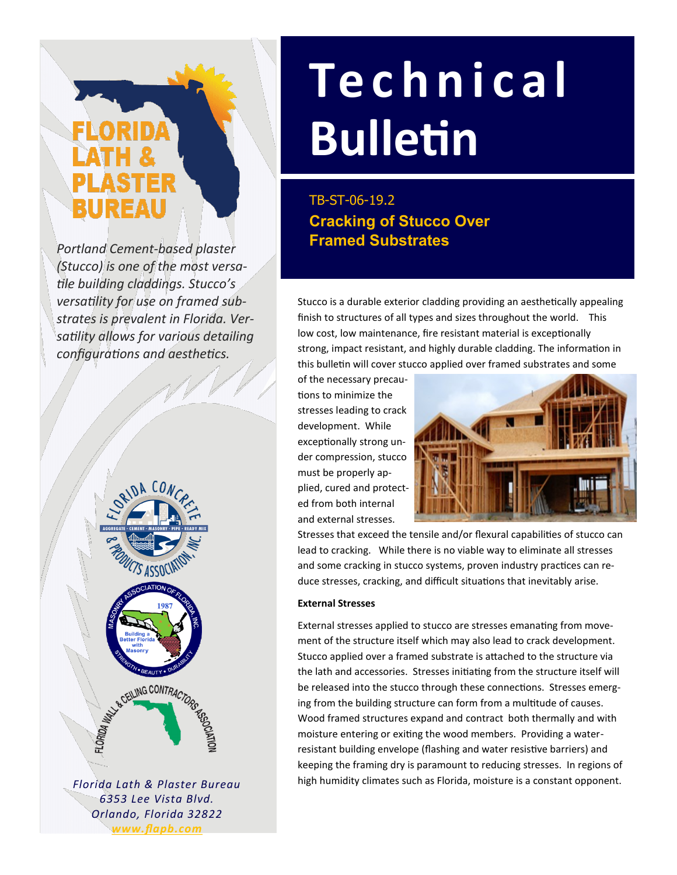# ELORIDA BUREAU

*Portland Cement-based plaster (Stucco) is one of the most versatile building claddings. Stucco's versatility for use on framed substrates is prevalent in Florida. Versatility allows for various detailing configurations and aesthetics.* 



*Florida Lath & Plaster Bureau 6353 Lee Vista Blvd. Orlando, Florida 32822 www.flapb.com*

## **Te c h n i c a l Bulletin**

**Cracking of Stucco Over Framed Substrates**  TB-ST-06-19.2

Stucco is a durable exterior cladding providing an aesthetically appealing finish to structures of all types and sizes throughout the world. This low cost, low maintenance, fire resistant material is exceptionally strong, impact resistant, and highly durable cladding. The information in this bulletin will cover stucco applied over framed substrates and some

of the necessary precautions to minimize the stresses leading to crack development. While exceptionally strong under compression, stucco must be properly applied, cured and protected from both internal and external stresses.



Stresses that exceed the tensile and/or flexural capabilities of stucco can lead to cracking. While there is no viable way to eliminate all stresses and some cracking in stucco systems, proven industry practices can reduce stresses, cracking, and difficult situations that inevitably arise.

#### **External Stresses**

External stresses applied to stucco are stresses emanating from movement of the structure itself which may also lead to crack development. Stucco applied over a framed substrate is attached to the structure via the lath and accessories. Stresses initiating from the structure itself will be released into the stucco through these connections. Stresses emerging from the building structure can form from a multitude of causes. Wood framed structures expand and contract both thermally and with moisture entering or exiting the wood members. Providing a waterresistant building envelope (flashing and water resistive barriers) and keeping the framing dry is paramount to reducing stresses. In regions of high humidity climates such as Florida, moisture is a constant opponent.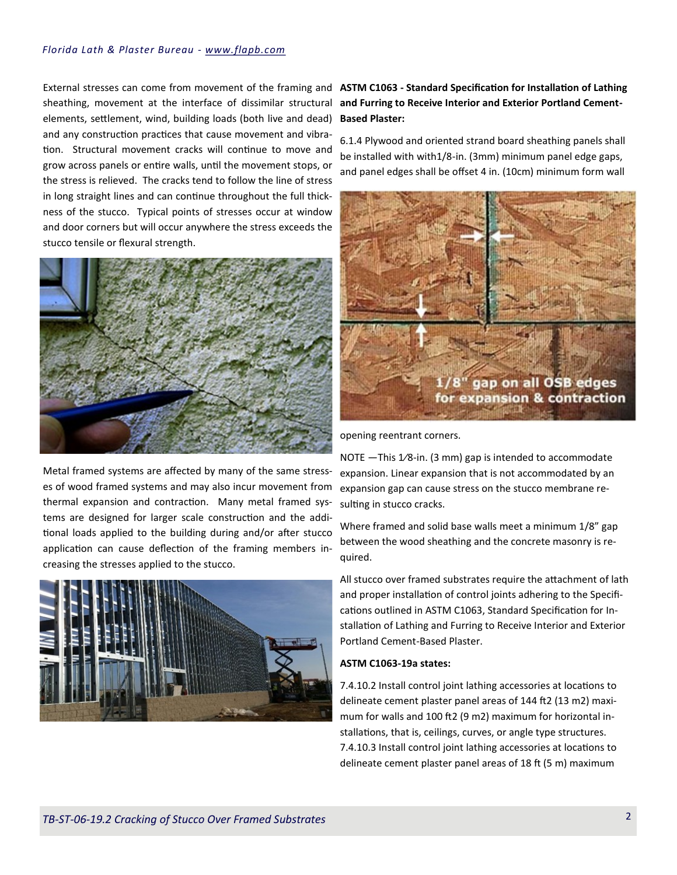#### *Florida Lath & Plaster Bureau - www.flapb.com*

External stresses can come from movement of the framing and **ASTM C1063 - Standard Specification for Installation of Lathing**  sheathing, movement at the interface of dissimilar structural and Furring to Receive Interior and Exterior Portland Cementelements, settlement, wind, building loads (both live and dead) and any construction practices that cause movement and vibration. Structural movement cracks will continue to move and grow across panels or entire walls, until the movement stops, or the stress is relieved. The cracks tend to follow the line of stress in long straight lines and can continue throughout the full thickness of the stucco. Typical points of stresses occur at window and door corners but will occur anywhere the stress exceeds the stucco tensile or flexural strength.



Metal framed systems are affected by many of the same stresses of wood framed systems and may also incur movement from thermal expansion and contraction. Many metal framed systems are designed for larger scale construction and the additional loads applied to the building during and/or after stucco application can cause deflection of the framing members increasing the stresses applied to the stucco.



### **Based Plaster:**

6.1.4 Plywood and oriented strand board sheathing panels shall be installed with with1/8-in. (3mm) minimum panel edge gaps, and panel edges shall be offset 4 in. (10cm) minimum form wall



opening reentrant corners.

NOTE —This 1⁄8-in. (3 mm) gap is intended to accommodate expansion. Linear expansion that is not accommodated by an expansion gap can cause stress on the stucco membrane resulting in stucco cracks.

Where framed and solid base walls meet a minimum 1/8" gap between the wood sheathing and the concrete masonry is required.

All stucco over framed substrates require the attachment of lath and proper installation of control joints adhering to the Specifications outlined in ASTM C1063, Standard Specification for Installation of Lathing and Furring to Receive Interior and Exterior Portland Cement-Based Plaster.

#### **ASTM C1063-19a states:**

7.4.10.2 Install control joint lathing accessories at locations to delineate cement plaster panel areas of 144 ft2 (13 m2) maximum for walls and 100 ft2 (9 m2) maximum for horizontal installations, that is, ceilings, curves, or angle type structures. 7.4.10.3 Install control joint lathing accessories at locations to delineate cement plaster panel areas of 18 ft (5 m) maximum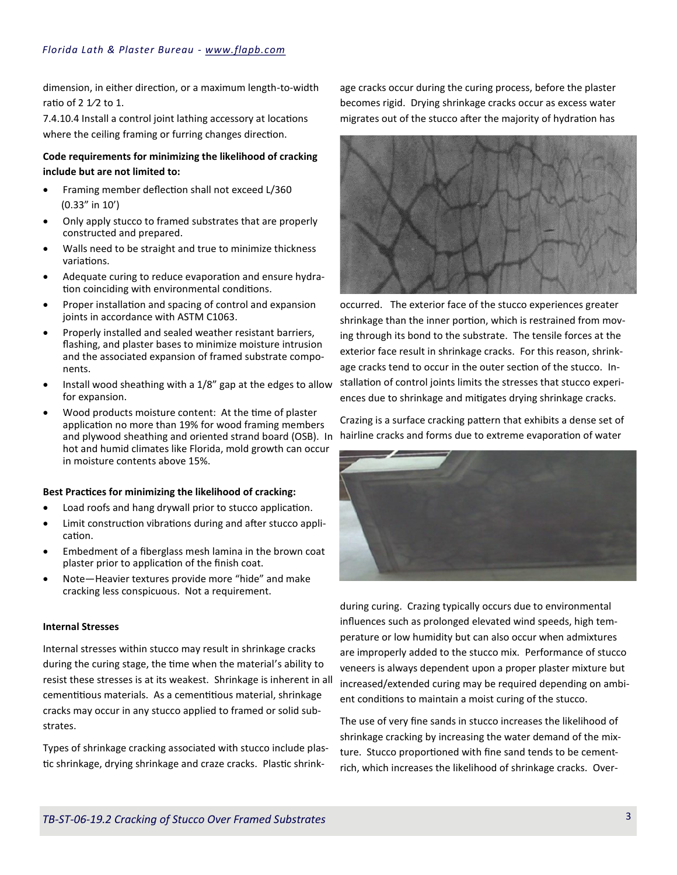dimension, in either direction, or a maximum length-to-width ratio of 2 1⁄2 to 1.

7.4.10.4 Install a control joint lathing accessory at locations where the ceiling framing or furring changes direction.

#### **Code requirements for minimizing the likelihood of cracking include but are not limited to:**

- Framing member deflection shall not exceed L/360 (0.33" in 10')
- Only apply stucco to framed substrates that are properly constructed and prepared.
- Walls need to be straight and true to minimize thickness variations.
- Adequate curing to reduce evaporation and ensure hydration coinciding with environmental conditions.
- Proper installation and spacing of control and expansion joints in accordance with ASTM C1063.
- Properly installed and sealed weather resistant barriers, flashing, and plaster bases to minimize moisture intrusion and the associated expansion of framed substrate components.
- Install wood sheathing with a 1/8" gap at the edges to allow for expansion.
- Wood products moisture content: At the time of plaster application no more than 19% for wood framing members and plywood sheathing and oriented strand board (OSB). In hairline cracks and forms due to extreme evaporation of water hot and humid climates like Florida, mold growth can occur in moisture contents above 15%.

#### **Best Practices for minimizing the likelihood of cracking:**

- Load roofs and hang drywall prior to stucco application.
- Limit construction vibrations during and after stucco application.
- Embedment of a fiberglass mesh lamina in the brown coat plaster prior to application of the finish coat.
- Note—Heavier textures provide more "hide" and make cracking less conspicuous. Not a requirement.

#### **Internal Stresses**

Internal stresses within stucco may result in shrinkage cracks during the curing stage, the time when the material's ability to resist these stresses is at its weakest. Shrinkage is inherent in all cementitious materials. As a cementitious material, shrinkage cracks may occur in any stucco applied to framed or solid substrates.

Types of shrinkage cracking associated with stucco include plastic shrinkage, drying shrinkage and craze cracks. Plastic shrinkage cracks occur during the curing process, before the plaster becomes rigid. Drying shrinkage cracks occur as excess water migrates out of the stucco after the majority of hydration has



occurred. The exterior face of the stucco experiences greater shrinkage than the inner portion, which is restrained from moving through its bond to the substrate. The tensile forces at the exterior face result in shrinkage cracks. For this reason, shrinkage cracks tend to occur in the outer section of the stucco. Installation of control joints limits the stresses that stucco experiences due to shrinkage and mitigates drying shrinkage cracks.

Crazing is a surface cracking pattern that exhibits a dense set of



during curing. Crazing typically occurs due to environmental influences such as prolonged elevated wind speeds, high temperature or low humidity but can also occur when admixtures are improperly added to the stucco mix. Performance of stucco veneers is always dependent upon a proper plaster mixture but increased/extended curing may be required depending on ambient conditions to maintain a moist curing of the stucco.

The use of very fine sands in stucco increases the likelihood of shrinkage cracking by increasing the water demand of the mixture. Stucco proportioned with fine sand tends to be cementrich, which increases the likelihood of shrinkage cracks. Over-